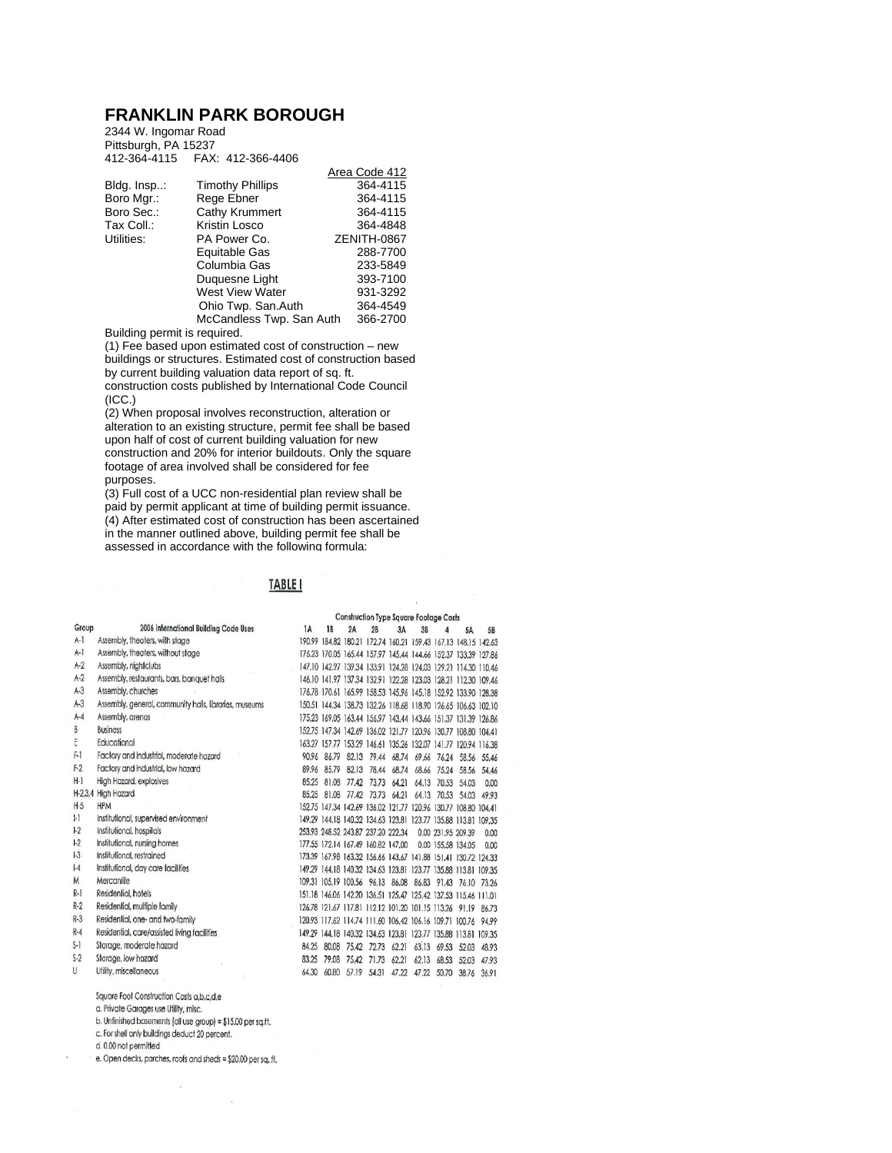## **FRANKLIN PARK BOROUGH**

2344 W. Ingomar Road Pittsburgh, PA 15237 412-364-4115 FAX: 412-366-4406

|                         | Area Code 412            |
|-------------------------|--------------------------|
| <b>Timothy Phillips</b> | 364-4115                 |
| Rege Ebner              | 364-4115                 |
| Cathy Krummert          | 364-4115                 |
| Kristin Losco           | 364-4848                 |
| PA Power Co.            | ZENITH-0867              |
| Equitable Gas           | 288-7700                 |
| Columbia Gas            | 233-5849                 |
| Duquesne Light          | 393-7100                 |
| <b>West View Water</b>  | 931-3292                 |
| Ohio Twp. San.Auth      | 364-4549                 |
|                         | 366-2700                 |
|                         | McCandless Twp. San Auth |

Building permit is required.

(1) Fee based upon estimated cost of construction – new buildings or structures. Estimated cost of construction based by current building valuation data report of sq. ft.

construction costs published by International Code Council (ICC.)

(2) When proposal involves reconstruction, alteration or alteration to an existing structure, permit fee shall be based upon half of cost of current building valuation for new construction and 20% for interior buildouts. Only the square footage of area involved shall be considered for fee purposes.

(3) Full cost of a UCC non-residential plan review shall be paid by permit applicant at time of building permit issuance. (4) After estimated cost of construction has been ascertained in the manner outlined above, building permit fee shall be assessed in accordance with the following formula:

## TABLE I

|         |                                                              |       | <b>Construction Type Square Footage Costs</b> |    |                                    |    |                                                                |   |                         |       |
|---------|--------------------------------------------------------------|-------|-----------------------------------------------|----|------------------------------------|----|----------------------------------------------------------------|---|-------------------------|-------|
| Group   | 2006 International Building Code Uses                        | 1A    | 1B                                            | 2A | 2B                                 | 3A | 3B                                                             | Δ | 5A                      | 5B    |
| $A-1$   | Assembly, theoters, with stage                               |       |                                               |    |                                    |    | 190.99 184.82 180.21 172.74 160.21 159.43 167.13 148.15 142.63 |   |                         |       |
| $A-1$   | Assembly, theaters, without stage                            |       |                                               |    |                                    |    | 176.23 170.05 165.44 157.97 145.44 144.66 152.37 133.39 127.86 |   |                         |       |
| $A-2$   | Assembly, nightclubs                                         |       |                                               |    |                                    |    | 147.10 142.97 139.34 133.91 124.28 124.03 129.21 114.30 110.46 |   |                         |       |
| $A-2$   | Assembly, restaurants, bars, banquet halls                   |       |                                               |    |                                    |    | 146.10 141.97 137.34 132.91 122.28 123.03 128.21 112.30 109.46 |   |                         |       |
| $A-3$   | Assembly, churches                                           |       |                                               |    |                                    |    | 176.78 170.61 165.99 158.53 145.96 145.18 152.92 133.90 128.38 |   |                         |       |
| $A-3$   | Assembly, general, community halls, libraries, museums       |       |                                               |    |                                    |    | 150.51 144.34 138.73 132.26 118.68 118.90 126.65 106.63 102.10 |   |                         |       |
| $A-4$   | Assembly, arenas                                             |       |                                               |    |                                    |    | 175.23 169.05 163.44 156.97 143.44 143.66 151.37 131.39 126.86 |   |                         |       |
| B       | <b>Business</b>                                              |       |                                               |    |                                    |    | 152.75 147.34 142.69 136.02 121.77 120.96 130.77 108.80 104.41 |   |                         |       |
| E       | Educational                                                  |       |                                               |    |                                    |    | 163.27 157.77 153.29 146.61 135.26 132.07 141.77 120.94 116.38 |   |                         |       |
| $F-1$   | Factory and industrial, moderate hazard                      | 90.96 |                                               |    |                                    |    | 86.79 82.13 79.44 68.74 69.66 76.24 58.56 55.46                |   |                         |       |
| $F-2$   | Factory and industrial, low hozard                           | 89.96 | 85.79                                         |    | 82.13 78.44                        |    | 68.74 68.66                                                    |   | 75.24 58.56 54.46       |       |
| $H-1$   | High Hozard, explosives                                      | 85.25 |                                               |    | 81.08 77.42 73.73 64.21            |    |                                                                |   | 64.13 70.53 54.03       | 0.00  |
|         | H-2.3,4 High Hozard                                          | 85.25 |                                               |    | 81.08 77.42 73.73 64.21            |    |                                                                |   | 64.13 70.53 54.03 49.93 |       |
| $H-5$   | <b>HPM</b>                                                   |       |                                               |    |                                    |    | 152.75 147.34 142.69 136.02 121.77 120.96 130.77 108.80 104.41 |   |                         |       |
| $  -  $ | Institutional, supervised environment                        |       |                                               |    |                                    |    | 149.29 144.18 140.32 134.63 123.81 123.77 135.88 113.81 109.35 |   |                         |       |
| $1-2$   | Institutional, hospitals                                     |       |                                               |    | 253.93 248.52 243.87 237.20 222.34 |    |                                                                |   | 0.00 231,95 209.39      | 0.00  |
| $1-2$   | Institutional, nursing homes                                 |       |                                               |    | 177.55 172.14 167.49 160.82 147.00 |    |                                                                |   | 0.00 155,58 134.05      | 0.00  |
| 3       | Institutional, restrained                                    |       |                                               |    |                                    |    | 173.39 167.98 163.32 156.66 143.67 141.88 151.41 130.72 124.33 |   |                         |       |
| $ -4$   | Institutional, day care facilities                           |       |                                               |    |                                    |    | 149.29 144.18 140.32 134.63 123.81 123.77 135.88 113.81 109.35 |   |                         |       |
| M       | Mercantile                                                   |       |                                               |    |                                    |    | 109.31 105.19 100.56 96.13 86.08 86.83 91.43 76.10 73.26       |   |                         |       |
| $R-1$   | Residential, hotels                                          |       |                                               |    |                                    |    | 151.18 146.06 142.20 136.51 125.47 125.42 137.53 115.46 111.01 |   |                         |       |
| $R-2$   | Residential, multiple family                                 |       |                                               |    |                                    |    | 126.78 121.67 117.81 112.12 101.20 101.15 113.26 91.19 86.73   |   |                         |       |
| $R-3$   | Residential, one- and two-family                             |       |                                               |    |                                    |    | 120.93 117.62 114.74 111.60 106.42 106.16 109.71 100.76 94.99  |   |                         |       |
| $R-4$   | Residential, care/assisted living facilities                 |       |                                               |    |                                    |    | 149.29 144.18 140.32 134.63 123.81 123.77 135.88 113.81 109.35 |   |                         |       |
| $S-1$   | Storage, moderate hazard                                     | 84.25 |                                               |    |                                    |    | 80.08 75.42 72.73 62.21 63.13 69.53 52.03 48.93                |   |                         |       |
| $S-2$   | Storage, low hazard                                          | 83.25 |                                               |    | 79.08 75.42 71.73 62.21            |    |                                                                |   | 62.13 68.53 52.03       | 47.93 |
| U       | Utility, miscellaneous                                       | 64.30 | 60.80                                         |    |                                    |    | 57.19 54.31 47.22 47.22 50.70                                  |   | 38.76                   | 36.91 |
|         | Square Foot Construction Costs a, b, c, d, e                 |       |                                               |    |                                    |    |                                                                |   |                         |       |
|         | a. Private Garages use Utility, misc.                        |       |                                               |    |                                    |    |                                                                |   |                         |       |
|         | b. Unfinished basements (all use group) = \$15.00 per sq.ft. |       |                                               |    |                                    |    |                                                                |   |                         |       |

c. For shell only buildings deduct 20 percent.

d. 0.00 not permitted

e. Open decks, porches, roofs and sheds = \$20.00 per sq. ff.

 $\overline{\mathcal{R}}$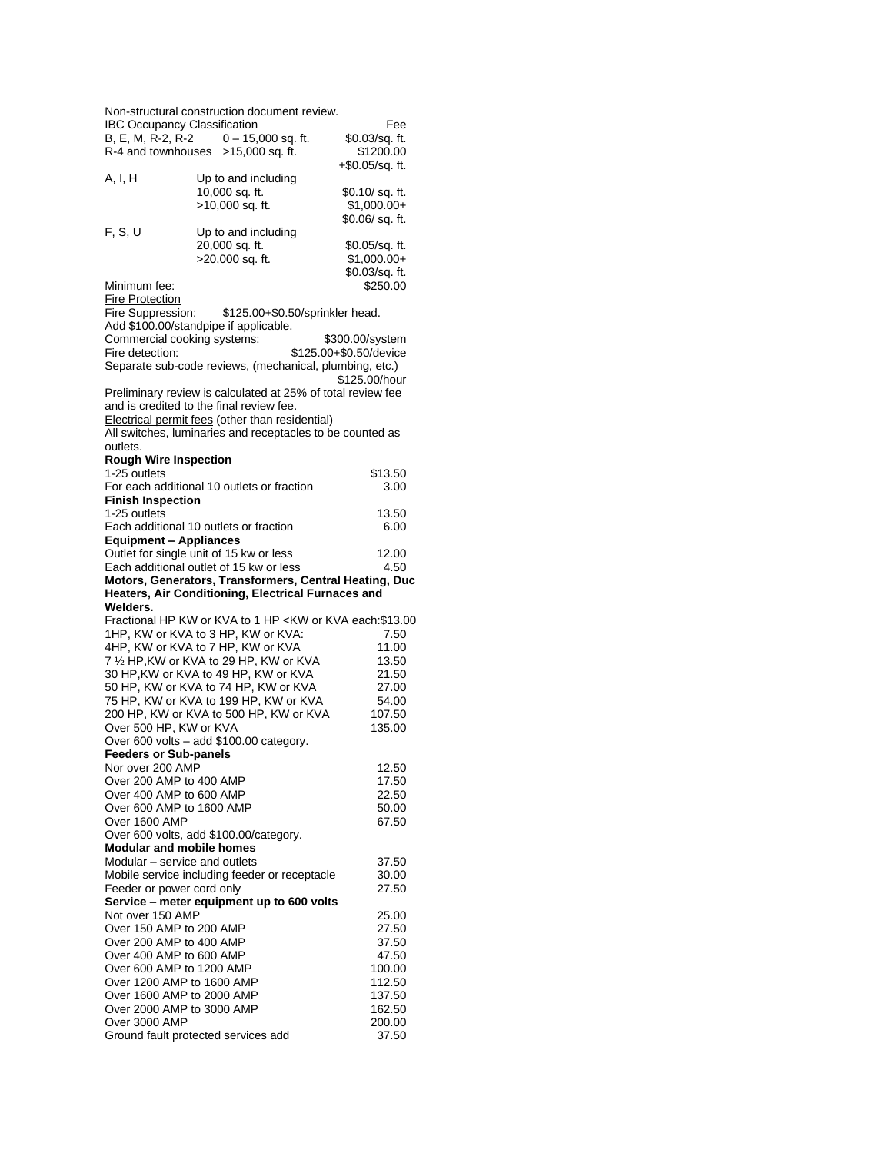| Non-structural construction document review.            |                                                             |                                |
|---------------------------------------------------------|-------------------------------------------------------------|--------------------------------|
| <b>IBC Occupancy Classification</b>                     | $0 - 15,000$ sq. ft.                                        | Fee                            |
| B, E, M, R-2, R-2<br>R-4 and townhouses >15,000 sq. ft. |                                                             | \$0.03/sq. ft.<br>\$1200.00    |
|                                                         |                                                             | +\$0.05/sq. ft.                |
| A, I, H                                                 | Up to and including                                         |                                |
|                                                         | 10,000 sq. ft.                                              | \$0.10/sq.ft.                  |
|                                                         | >10,000 sq. ft.                                             | $$1,000.00+$                   |
|                                                         |                                                             | \$0.06/sq.ft.                  |
| F, S, U                                                 | Up to and including                                         |                                |
|                                                         | 20,000 sq. ft.<br>>20,000 sq. ft.                           | \$0.05/sq. ft.<br>$$1,000.00+$ |
|                                                         |                                                             | \$0.03/sq. ft.                 |
| Minimum fee:                                            |                                                             | \$250.00                       |
| <b>Fire Protection</b>                                  |                                                             |                                |
| Fire Suppression:                                       | \$125.00+\$0.50/sprinkler head.                             |                                |
| Add \$100.00/standpipe if applicable.                   |                                                             |                                |
| Commercial cooking systems:                             |                                                             | \$300.00/system                |
| Fire detection:                                         | Separate sub-code reviews, (mechanical, plumbing, etc.)     | \$125.00+\$0.50/device         |
|                                                         |                                                             | \$125.00/hour                  |
|                                                         | Preliminary review is calculated at 25% of total review fee |                                |
| and is credited to the final review fee.                |                                                             |                                |
|                                                         | Electrical permit fees (other than residential)             |                                |
|                                                         | All switches, luminaries and receptacles to be counted as   |                                |
| outlets.                                                |                                                             |                                |
| <b>Rough Wire Inspection</b><br>1-25 outlets            |                                                             | \$13.50                        |
|                                                         | For each additional 10 outlets or fraction                  | 3.00                           |
| <b>Finish Inspection</b>                                |                                                             |                                |
| 1-25 outlets                                            |                                                             | 13.50                          |
| Each additional 10 outlets or fraction                  |                                                             | 6.00                           |
| <b>Equipment - Appliances</b>                           |                                                             |                                |
| Outlet for single unit of 15 kw or less                 |                                                             | 12.00                          |
| Each additional outlet of 15 kw or less                 |                                                             | 4.50                           |
|                                                         |                                                             |                                |
|                                                         | Motors, Generators, Transformers, Central Heating, Duc      |                                |
| Welders.                                                | Heaters, Air Conditioning, Electrical Furnaces and          |                                |
|                                                         | Fractional HP KW or KVA to 1 HP < KW or KVA each: \$13.00   |                                |
| 1HP, KW or KVA to 3 HP, KW or KVA:                      |                                                             | 7.50                           |
| 4HP, KW or KVA to 7 HP, KW or KVA                       |                                                             | 11.00                          |
|                                                         | 7 1/2 HP, KW or KVA to 29 HP, KW or KVA                     | 13.50                          |
|                                                         | 30 HP, KW or KVA to 49 HP, KW or KVA                        | 21.50                          |
|                                                         | 50 HP, KW or KVA to 74 HP, KW or KVA                        | 27.00                          |
|                                                         | 75 HP, KW or KVA to 199 HP, KW or KVA                       | 54.00<br>107.50                |
| Over 500 HP, KW or KVA                                  | 200 HP, KW or KVA to 500 HP, KW or KVA                      | 135.00                         |
|                                                         | Over 600 volts - add \$100.00 category.                     |                                |
| <b>Feeders or Sub-panels</b>                            |                                                             |                                |
| Nor over 200 AMP                                        |                                                             | 12.50                          |
| Over 200 AMP to 400 AMP                                 |                                                             | 17.50                          |
| Over 400 AMP to 600 AMP<br>Over 600 AMP to 1600 AMP     |                                                             | 22.50                          |
| Over 1600 AMP                                           |                                                             | 50.00<br>67.50                 |
| Over 600 volts, add \$100.00/category.                  |                                                             |                                |
| <b>Modular and mobile homes</b>                         |                                                             |                                |
| Modular - service and outlets                           |                                                             | 37.50                          |
|                                                         | Mobile service including feeder or receptacle               | 30.00                          |
| Feeder or power cord only                               |                                                             | 27.50                          |
| Not over 150 AMP                                        | Service - meter equipment up to 600 volts                   | 25.00                          |
| Over 150 AMP to 200 AMP                                 |                                                             | 27.50                          |
| Over 200 AMP to 400 AMP                                 |                                                             | 37.50                          |
| Over 400 AMP to 600 AMP                                 |                                                             | 47.50                          |
| Over 600 AMP to 1200 AMP                                |                                                             | 100.00                         |
| Over 1200 AMP to 1600 AMP                               |                                                             | 112.50                         |
| Over 1600 AMP to 2000 AMP<br>Over 2000 AMP to 3000 AMP  |                                                             | 137.50<br>162.50               |
| Over 3000 AMP<br>Ground fault protected services add    |                                                             | 200.00                         |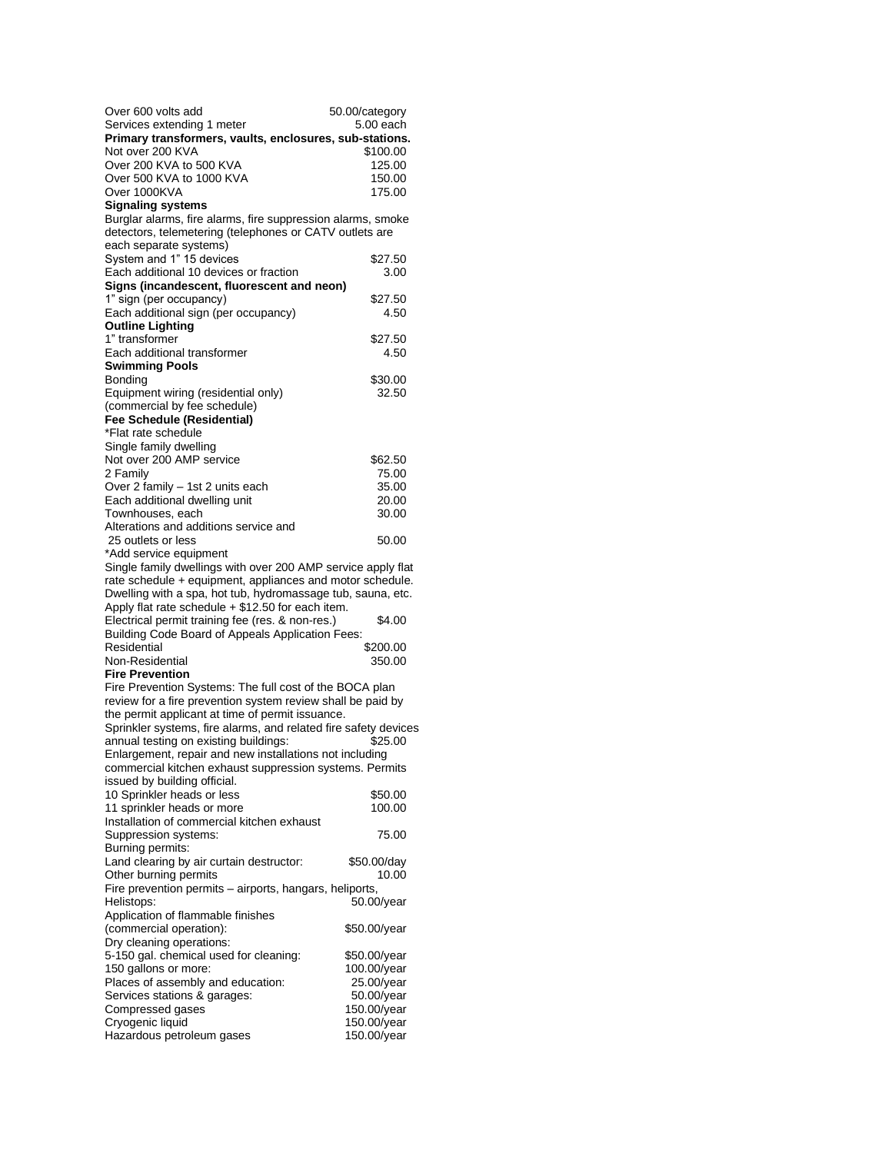| Over 600 volts add                                                                                                     | 50.00/category           |
|------------------------------------------------------------------------------------------------------------------------|--------------------------|
| Services extending 1 meter                                                                                             | 5.00 each                |
| Primary transformers, vaults, enclosures, sub-stations.<br>Not over 200 KVA                                            | \$100.00                 |
| Over 200 KVA to 500 KVA                                                                                                | 125.00                   |
| Over 500 KVA to 1000 KVA                                                                                               | 150.00                   |
| Over 1000KVA                                                                                                           | 175.00                   |
| <b>Signaling systems</b>                                                                                               |                          |
| Burglar alarms, fire alarms, fire suppression alarms, smoke<br>detectors, telemetering (telephones or CATV outlets are |                          |
| each separate systems)                                                                                                 |                          |
| System and 1" 15 devices                                                                                               | \$27.50                  |
| Each additional 10 devices or fraction                                                                                 | 3.00                     |
| Signs (incandescent, fluorescent and neon)                                                                             |                          |
| 1" sign (per occupancy)<br>Each additional sign (per occupancy)                                                        | \$27.50<br>4.50          |
| <b>Outline Lighting</b>                                                                                                |                          |
| 1" transformer                                                                                                         | \$27.50                  |
| Each additional transformer                                                                                            | 4.50                     |
| <b>Swimming Pools</b>                                                                                                  |                          |
| Bonding<br>Equipment wiring (residential only)                                                                         | \$30.00<br>32.50         |
| (commercial by fee schedule)                                                                                           |                          |
| Fee Schedule (Residential)                                                                                             |                          |
| *Flat rate schedule                                                                                                    |                          |
| Single family dwelling<br>Not over 200 AMP service                                                                     | \$62.50                  |
| 2 Family                                                                                                               | 75.00                    |
| Over 2 family - 1st 2 units each                                                                                       | 35.00                    |
| Each additional dwelling unit                                                                                          | 20.00                    |
| Townhouses, each                                                                                                       | 30.00                    |
| Alterations and additions service and<br>25 outlets or less                                                            | 50.00                    |
| *Add service equipment                                                                                                 |                          |
| Single family dwellings with over 200 AMP service apply flat                                                           |                          |
| rate schedule + equipment, appliances and motor schedule.                                                              |                          |
| Dwelling with a spa, hot tub, hydromassage tub, sauna, etc.                                                            |                          |
| Apply flat rate schedule + \$12.50 for each item.<br>Electrical permit training fee (res. & non-res.)                  | \$4.00                   |
| Building Code Board of Appeals Application Fees:                                                                       |                          |
| Residential                                                                                                            | \$200.00                 |
| Non-Residential                                                                                                        | 350.00                   |
| <b>Fire Prevention</b><br>Fire Prevention Systems: The full cost of the BOCA plan                                      |                          |
| review for a fire prevention system review shall be paid by                                                            |                          |
| the permit applicant at time of permit issuance.                                                                       |                          |
| Sprinkler systems, fire alarms, and related fire safety devices                                                        |                          |
| annual testing on existing buildings:                                                                                  | \$25.00                  |
| Enlargement, repair and new installations not including<br>commercial kitchen exhaust suppression systems. Permits     |                          |
| issued by building official.                                                                                           |                          |
| 10 Sprinkler heads or less                                                                                             | \$50.00                  |
| 11 sprinkler heads or more                                                                                             | 100.00                   |
| Installation of commercial kitchen exhaust                                                                             |                          |
| Suppression systems:<br>Burning permits:                                                                               | 75.00                    |
| Land clearing by air curtain destructor:                                                                               | \$50.00/day              |
| Other burning permits                                                                                                  | 10.00                    |
| Fire prevention permits - airports, hangars, heliports,                                                                |                          |
| Helistops:                                                                                                             | 50.00/year               |
| Application of flammable finishes<br>(commercial operation):                                                           | \$50.00/year             |
| Dry cleaning operations:                                                                                               |                          |
| 5-150 gal. chemical used for cleaning:                                                                                 | \$50.00/year             |
| 150 gallons or more:                                                                                                   | 100.00/year              |
| Places of assembly and education:<br>Services stations & garages:                                                      | 25.00/year<br>50.00/year |
| Compressed gases                                                                                                       | 150.00/year              |
| Cryogenic liquid                                                                                                       | 150.00/year              |
| Hazardous petroleum gases                                                                                              | 150.00/year              |